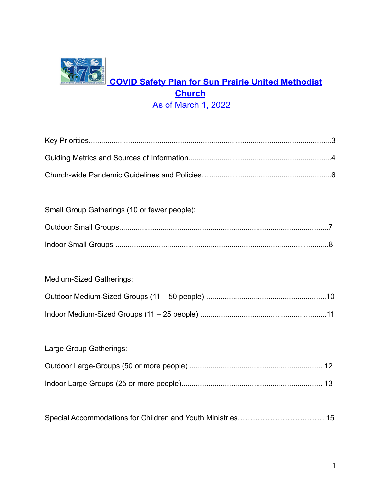# **COVID Safety Plan for Sun Prairie United Methodist Church** As of March 1, 2022

| Small Group Gatherings (10 or fewer people): |  |
|----------------------------------------------|--|
|                                              |  |
|                                              |  |

### Medium-Sized Gatherings:

| Large Group Gatherings: |  |
|-------------------------|--|
|                         |  |
|                         |  |

Special Accommodations for Children and Youth Ministries……………………….……..15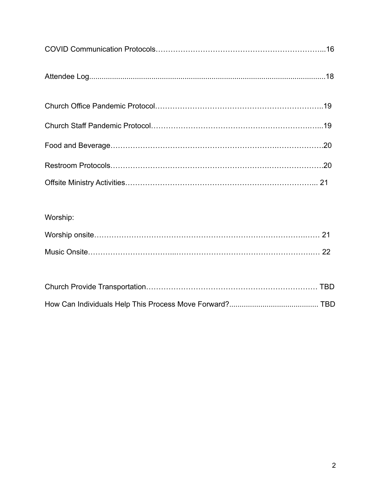| Worship: |  |  |  |  |
|----------|--|--|--|--|
|          |  |  |  |  |
|          |  |  |  |  |
|          |  |  |  |  |
|          |  |  |  |  |
|          |  |  |  |  |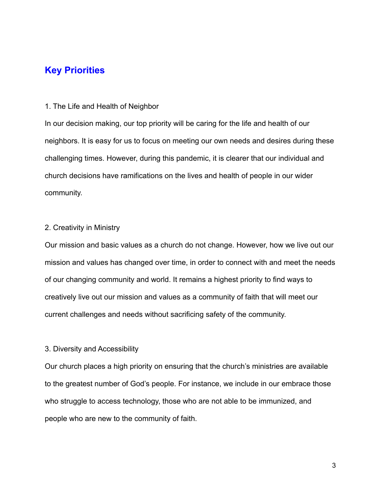### **Key Priorities**

#### 1. The Life and Health of Neighbor

In our decision making, our top priority will be caring for the life and health of our neighbors. It is easy for us to focus on meeting our own needs and desires during these challenging times. However, during this pandemic, it is clearer that our individual and church decisions have ramifications on the lives and health of people in our wider community.

#### 2. Creativity in Ministry

Our mission and basic values as a church do not change. However, how we live out our mission and values has changed over time, in order to connect with and meet the needs of our changing community and world. It remains a highest priority to find ways to creatively live out our mission and values as a community of faith that will meet our current challenges and needs without sacrificing safety of the community.

#### 3. Diversity and Accessibility

Our church places a high priority on ensuring that the church's ministries are available to the greatest number of God's people. For instance, we include in our embrace those who struggle to access technology, those who are not able to be immunized, and people who are new to the community of faith.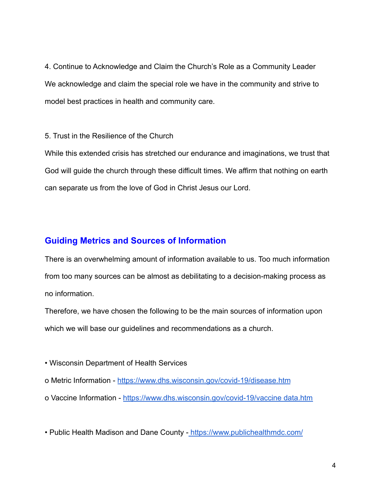4. Continue to Acknowledge and Claim the Church's Role as a Community Leader We acknowledge and claim the special role we have in the community and strive to model best practices in health and community care.

5. Trust in the Resilience of the Church

While this extended crisis has stretched our endurance and imaginations, we trust that God will guide the church through these difficult times. We affirm that nothing on earth can separate us from the love of God in Christ Jesus our Lord.

#### **Guiding Metrics and Sources of Information**

There is an overwhelming amount of information available to us. Too much information from too many sources can be almost as debilitating to a decision-making process as no information.

Therefore, we have chosen the following to be the main sources of information upon which we will base our guidelines and recommendations as a church.

• Wisconsin Department of Health Services

o Metric Information - <https://www.dhs.wisconsin.gov/covid-19/disease.htm>

o Vaccine Information - <https://www.dhs.wisconsin.gov/covid-19/vaccine> data.htm

• Public Health Madison and Dane County - <https://www.publichealthmdc.com/>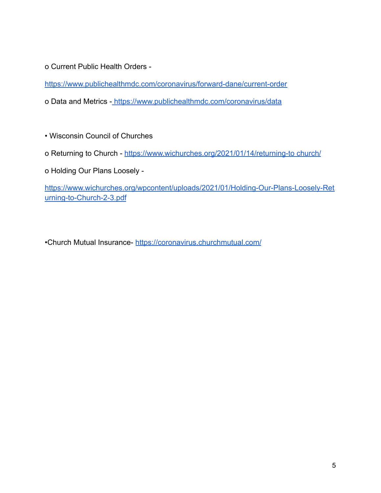o Current Public Health Orders -

<https://www.publichealthmdc.com/coronavirus/forward-dane/current-order>

o Data and Metrics - <https://www.publichealthmdc.com/coronavirus/data>

- Wisconsin Council of Churches
- o Returning to Church <https://www.wichurches.org/2021/01/14/returning-to> church/
- o Holding Our Plans Loosely -

[https://www.wichurches.org/wpcontent/uploads/2021/01/Holding-Our-Plans-Loosely-Ret](https://www.wichurches.org/wpcontent/uploads/2021/01/Holding-Our-Plans-Loosely-Returning-to-Church-2-3.pdf) [urning-to-Church-2-3.pdf](https://www.wichurches.org/wpcontent/uploads/2021/01/Holding-Our-Plans-Loosely-Returning-to-Church-2-3.pdf)

•Church Mutual Insurance- <https://coronavirus.churchmutual.com/>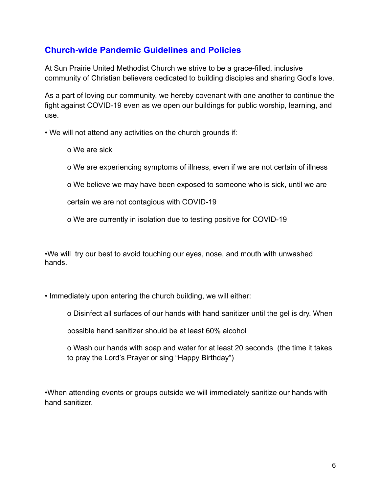### **Church-wide Pandemic Guidelines and Policies**

At Sun Prairie United Methodist Church we strive to be a grace-filled, inclusive community of Christian believers dedicated to building disciples and sharing God's love.

As a part of loving our community, we hereby covenant with one another to continue the fight against COVID-19 even as we open our buildings for public worship, learning, and use.

• We will not attend any activities on the church grounds if:

o We are sick

o We are experiencing symptoms of illness, even if we are not certain of illness

o We believe we may have been exposed to someone who is sick, until we are

certain we are not contagious with COVID-19

o We are currently in isolation due to testing positive for COVID-19

•We will try our best to avoid touching our eyes, nose, and mouth with unwashed hands.

• Immediately upon entering the church building, we will either:

o Disinfect all surfaces of our hands with hand sanitizer until the gel is dry. When

possible hand sanitizer should be at least 60% alcohol

o Wash our hands with soap and water for at least 20 seconds (the time it takes to pray the Lord's Prayer or sing "Happy Birthday")

•When attending events or groups outside we will immediately sanitize our hands with hand sanitizer.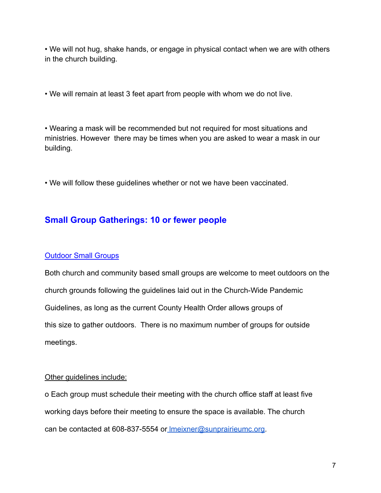• We will not hug, shake hands, or engage in physical contact when we are with others in the church building.

• We will remain at least 3 feet apart from people with whom we do not live.

• Wearing a mask will be recommended but not required for most situations and ministries. However there may be times when you are asked to wear a mask in our building.

• We will follow these guidelines whether or not we have been vaccinated.

### **Small Group Gatherings: 10 or fewer people**

#### Outdoor Small Groups

Both church and community based small groups are welcome to meet outdoors on the church grounds following the guidelines laid out in the Church-Wide Pandemic Guidelines, as long as the current County Health Order allows groups of this size to gather outdoors. There is no maximum number of groups for outside meetings.

#### Other guidelines include:

o Each group must schedule their meeting with the church office staff at least five working days before their meeting to ensure the space is available. The church can be contacted at 608-837-5554 or [lmeixner@sunprairieumc.org.](mailto:lmeixner@sunprairieumc.org)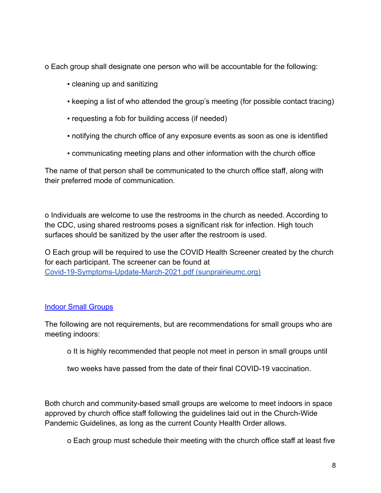o Each group shall designate one person who will be accountable for the following:

- cleaning up and sanitizing
- keeping a list of who attended the group's meeting (for possible contact tracing)
- requesting a fob for building access (if needed)
- notifying the church office of any exposure events as soon as one is identified
- communicating meeting plans and other information with the church office

The name of that person shall be communicated to the church office staff, along with their preferred mode of communication.

o Individuals are welcome to use the restrooms in the church as needed. According to the CDC, using shared restrooms poses a significant risk for infection. High touch surfaces should be sanitized by the user after the restroom is used.

O Each group will be required to use the COVID Health Screener created by the church for each participant. The screener can be found at [Covid-19-Symptoms-Update-March-2021.pdf \(sunprairieumc.org\)](https://www.sunprairieumc.org/wp-content/uploads/2021/02/Covid-19-Symptoms-Update-March-2021.pdf)

#### Indoor Small Groups

The following are not requirements, but are recommendations for small groups who are meeting indoors:

o It is highly recommended that people not meet in person in small groups until

two weeks have passed from the date of their final COVID-19 vaccination.

Both church and community-based small groups are welcome to meet indoors in space approved by church office staff following the guidelines laid out in the Church-Wide Pandemic Guidelines, as long as the current County Health Order allows.

o Each group must schedule their meeting with the church office staff at least five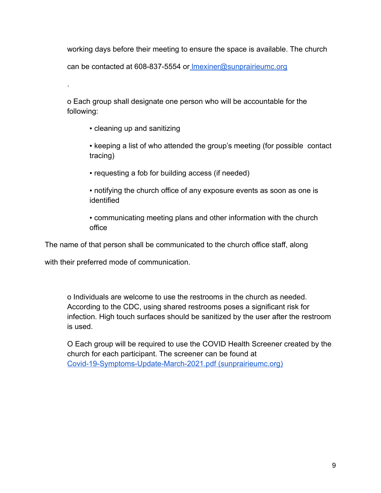working days before their meeting to ensure the space is available. The church

can be contacted at 608-837-5554 or [lmexiner@sunprairieumc.org](mailto:lmexiner@sunprairieumc.org)

o Each group shall designate one person who will be accountable for the following:

▪ cleaning up and sanitizing

.

• keeping a list of who attended the group's meeting (for possible contact) tracing)

- requesting a fob for building access (if needed)
- notifying the church office of any exposure events as soon as one is identified
- communicating meeting plans and other information with the church office

The name of that person shall be communicated to the church office staff, along

with their preferred mode of communication.

o Individuals are welcome to use the restrooms in the church as needed. According to the CDC, using shared restrooms poses a significant risk for infection. High touch surfaces should be sanitized by the user after the restroom is used.

O Each group will be required to use the COVID Health Screener created by the church for each participant. The screener can be found at [Covid-19-Symptoms-Update-March-2021.pdf \(sunprairieumc.org\)](https://www.sunprairieumc.org/wp-content/uploads/2021/02/Covid-19-Symptoms-Update-March-2021.pdf)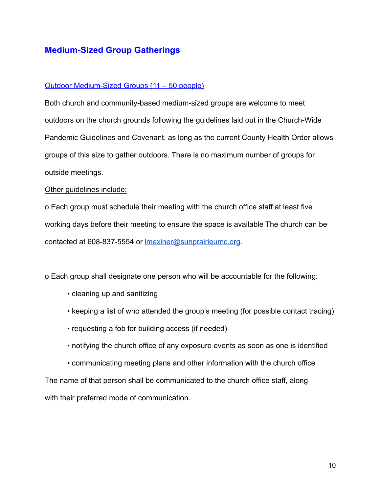### **Medium-Sized Group Gatherings**

#### Outdoor Medium-Sized Groups (11 – 50 people)

Both church and community-based medium-sized groups are welcome to meet outdoors on the church grounds following the guidelines laid out in the Church-Wide Pandemic Guidelines and Covenant, as long as the current County Health Order allows groups of this size to gather outdoors. There is no maximum number of groups for outside meetings.

#### Other guidelines include:

o Each group must schedule their meeting with the church office staff at least five working days before their meeting to ensure the space is available The church can be contacted at 608-837-5554 or [lmexiner@sunprairieumc.org](mailto:lmexiner@sunprairieumc.org).

o Each group shall designate one person who will be accountable for the following:

- cleaning up and sanitizing
- keeping a list of who attended the group's meeting (for possible contact tracing)
- requesting a fob for building access (if needed)
- notifying the church office of any exposure events as soon as one is identified
- communicating meeting plans and other information with the church office

The name of that person shall be communicated to the church office staff, along with their preferred mode of communication.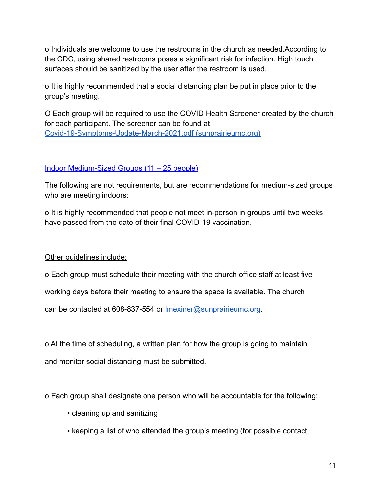o Individuals are welcome to use the restrooms in the church as needed.According to the CDC, using shared restrooms poses a significant risk for infection. High touch surfaces should be sanitized by the user after the restroom is used.

o It is highly recommended that a social distancing plan be put in place prior to the group's meeting.

O Each group will be required to use the COVID Health Screener created by the church for each participant. The screener can be found at [Covid-19-Symptoms-Update-March-2021.pdf \(sunprairieumc.org\)](https://www.sunprairieumc.org/wp-content/uploads/2021/02/Covid-19-Symptoms-Update-March-2021.pdf)

#### Indoor Medium-Sized Groups (11 – 25 people)

The following are not requirements, but are recommendations for medium-sized groups who are meeting indoors:

o It is highly recommended that people not meet in-person in groups until two weeks have passed from the date of their final COVID-19 vaccination.

Other guidelines include:

o Each group must schedule their meeting with the church office staff at least five

working days before their meeting to ensure the space is available. The church

can be contacted at 608-837-554 or [lmexiner@sunprairieumc.org](mailto:lmexiner@sunprairieumc.org).

o At the time of scheduling, a written plan for how the group is going to maintain and monitor social distancing must be submitted.

o Each group shall designate one person who will be accountable for the following:

- cleaning up and sanitizing
- keeping a list of who attended the group's meeting (for possible contact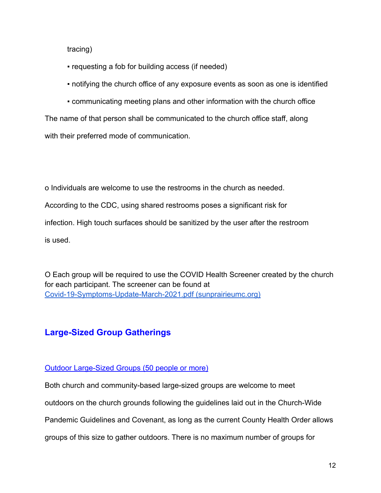tracing)

- requesting a fob for building access (if needed)
- notifying the church office of any exposure events as soon as one is identified
- communicating meeting plans and other information with the church office

The name of that person shall be communicated to the church office staff, along with their preferred mode of communication.

o Individuals are welcome to use the restrooms in the church as needed. According to the CDC, using shared restrooms poses a significant risk for infection. High touch surfaces should be sanitized by the user after the restroom is used.

O Each group will be required to use the COVID Health Screener created by the church for each participant. The screener can be found at [Covid-19-Symptoms-Update-March-2021.pdf \(sunprairieumc.org\)](https://www.sunprairieumc.org/wp-content/uploads/2021/02/Covid-19-Symptoms-Update-March-2021.pdf)

### **Large-Sized Group Gatherings**

#### Outdoor Large-Sized Groups (50 people or more)

Both church and community-based large-sized groups are welcome to meet

outdoors on the church grounds following the guidelines laid out in the Church-Wide

Pandemic Guidelines and Covenant, as long as the current County Health Order allows

groups of this size to gather outdoors. There is no maximum number of groups for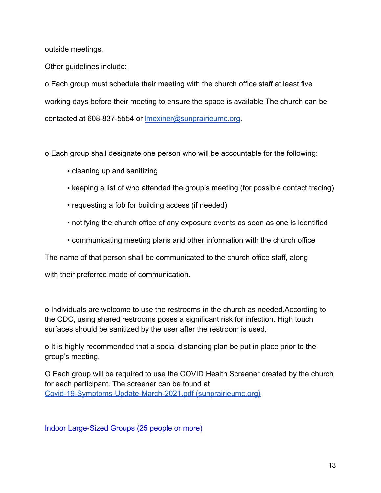outside meetings.

#### Other guidelines include:

o Each group must schedule their meeting with the church office staff at least five working days before their meeting to ensure the space is available The church can be contacted at 608-837-5554 or [lmexiner@sunprairieumc.org](mailto:lmexiner@sunprairieumc.org).

o Each group shall designate one person who will be accountable for the following:

- cleaning up and sanitizing
- keeping a list of who attended the group's meeting (for possible contact tracing)
- requesting a fob for building access (if needed)
- notifying the church office of any exposure events as soon as one is identified
- communicating meeting plans and other information with the church office

The name of that person shall be communicated to the church office staff, along

with their preferred mode of communication.

o Individuals are welcome to use the restrooms in the church as needed.According to the CDC, using shared restrooms poses a significant risk for infection. High touch surfaces should be sanitized by the user after the restroom is used.

o It is highly recommended that a social distancing plan be put in place prior to the group's meeting.

O Each group will be required to use the COVID Health Screener created by the church for each participant. The screener can be found at [Covid-19-Symptoms-Update-March-2021.pdf \(sunprairieumc.org\)](https://www.sunprairieumc.org/wp-content/uploads/2021/02/Covid-19-Symptoms-Update-March-2021.pdf)

Indoor Large-Sized Groups (25 people or more)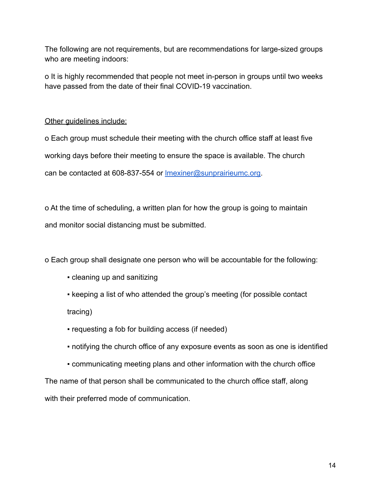The following are not requirements, but are recommendations for large-sized groups who are meeting indoors:

o It is highly recommended that people not meet in-person in groups until two weeks have passed from the date of their final COVID-19 vaccination.

#### Other guidelines include:

o Each group must schedule their meeting with the church office staff at least five working days before their meeting to ensure the space is available. The church can be contacted at 608-837-554 or **Imexiner@sunprairieumc.org**.

o At the time of scheduling, a written plan for how the group is going to maintain and monitor social distancing must be submitted.

o Each group shall designate one person who will be accountable for the following:

▪ cleaning up and sanitizing

• keeping a list of who attended the group's meeting (for possible contact tracing)

- requesting a fob for building access (if needed)
- notifying the church office of any exposure events as soon as one is identified
- communicating meeting plans and other information with the church office

The name of that person shall be communicated to the church office staff, along with their preferred mode of communication.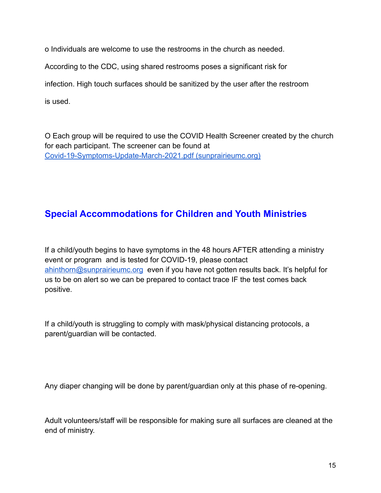o Individuals are welcome to use the restrooms in the church as needed.

According to the CDC, using shared restrooms poses a significant risk for

infection. High touch surfaces should be sanitized by the user after the restroom

is used.

O Each group will be required to use the COVID Health Screener created by the church for each participant. The screener can be found at [Covid-19-Symptoms-Update-March-2021.pdf \(sunprairieumc.org\)](https://www.sunprairieumc.org/wp-content/uploads/2021/02/Covid-19-Symptoms-Update-March-2021.pdf)

# **Special Accommodations for Children and Youth Ministries**

If a child/youth begins to have symptoms in the 48 hours AFTER attending a ministry event or program and is tested for COVID-19, please contact [ahinthorn@sunprairieumc.org](mailto:ahinthorn@sunprairieumc.org) even if you have not gotten results back. It's helpful for us to be on alert so we can be prepared to contact trace IF the test comes back positive.

If a child/youth is struggling to comply with mask/physical distancing protocols, a parent/guardian will be contacted.

Any diaper changing will be done by parent/guardian only at this phase of re-opening.

Adult volunteers/staff will be responsible for making sure all surfaces are cleaned at the end of ministry.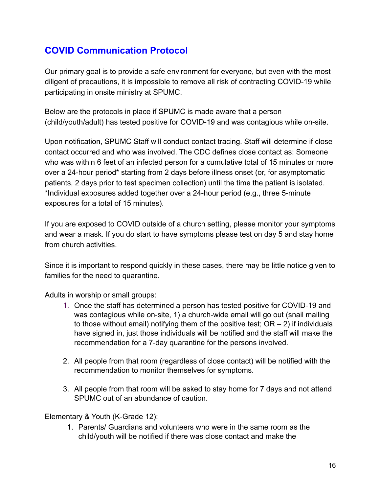# **COVID Communication Protocol**

Our primary goal is to provide a safe environment for everyone, but even with the most diligent of precautions, it is impossible to remove all risk of contracting COVID-19 while participating in onsite ministry at SPUMC.

Below are the protocols in place if SPUMC is made aware that a person (child/youth/adult) has tested positive for COVID-19 and was contagious while on-site.

Upon notification, SPUMC Staff will conduct contact tracing. Staff will determine if close contact occurred and who was involved. The CDC defines close contact as: Someone who was within 6 feet of an infected person for a cumulative total of 15 minutes or more over a 24-hour period\* starting from 2 days before illness onset (or, for asymptomatic patients, 2 days prior to test specimen collection) until the time the patient is isolated. \*Individual exposures added together over a 24-hour period (e.g., three 5-minute exposures for a total of 15 minutes).

If you are exposed to COVID outside of a church setting, please monitor your symptoms and wear a mask. If you do start to have symptoms please test on day 5 and stay home from church activities.

Since it is important to respond quickly in these cases, there may be little notice given to families for the need to quarantine.

Adults in worship or small groups:

- 1. Once the staff has determined a person has tested positive for COVID-19 and was contagious while on-site, 1) a church-wide email will go out (snail mailing to those without email) notifying them of the positive test;  $OR - 2$ ) if individuals have signed in, just those individuals will be notified and the staff will make the recommendation for a 7-day quarantine for the persons involved.
- 2. All people from that room (regardless of close contact) will be notified with the recommendation to monitor themselves for symptoms.
- 3. All people from that room will be asked to stay home for 7 days and not attend SPUMC out of an abundance of caution.

Elementary & Youth (K-Grade 12):

1. Parents/ Guardians and volunteers who were in the same room as the child/youth will be notified if there was close contact and make the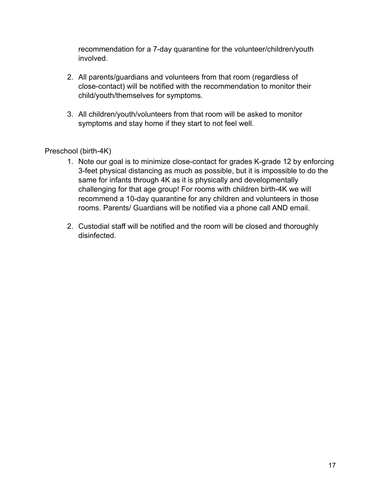recommendation for a 7-day quarantine for the volunteer/children/youth involved.

- 2. All parents/guardians and volunteers from that room (regardless of close-contact) will be notified with the recommendation to monitor their child/youth/themselves for symptoms.
- 3. All children/youth/volunteers from that room will be asked to monitor symptoms and stay home if they start to not feel well.

#### Preschool (birth-4K)

- 1. Note our goal is to minimize close-contact for grades K-grade 12 by enforcing 3-feet physical distancing as much as possible, but it is impossible to do the same for infants through 4K as it is physically and developmentally challenging for that age group! For rooms with children birth-4K we will recommend a 10-day quarantine for any children and volunteers in those rooms. Parents/ Guardians will be notified via a phone call AND email.
- 2. Custodial staff will be notified and the room will be closed and thoroughly disinfected.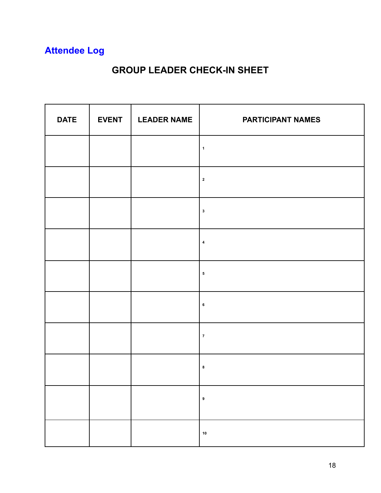# **Attendee Log**

# **GROUP LEADER CHECK-IN SHEET**

| <b>DATE</b> | <b>EVENT</b> | <b>LEADER NAME</b> | <b>PARTICIPANT NAMES</b> |
|-------------|--------------|--------------------|--------------------------|
|             |              |                    | $\mathbf 1$              |
|             |              |                    | $\mathbf 2$              |
|             |              |                    | $\mathbf 3$              |
|             |              |                    | $\pmb{4}$                |
|             |              |                    | ${\bf 5}$                |
|             |              |                    | $\bf 6$                  |
|             |              |                    | $\pmb{7}$                |
|             |              |                    | $\bf8$                   |
|             |              |                    | $\pmb{9}$                |
|             |              |                    | ${\bf 10}$               |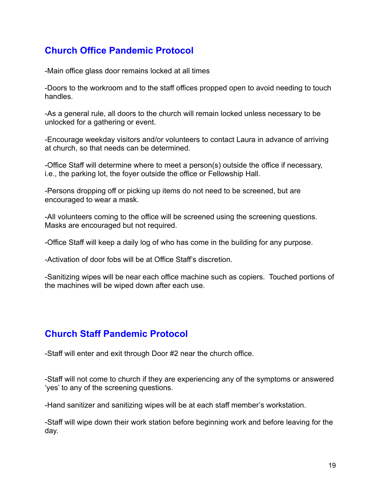# **Church Office Pandemic Protocol**

-Main office glass door remains locked at all times

-Doors to the workroom and to the staff offices propped open to avoid needing to touch handles.

-As a general rule, all doors to the church will remain locked unless necessary to be unlocked for a gathering or event.

-Encourage weekday visitors and/or volunteers to contact Laura in advance of arriving at church, so that needs can be determined.

-Office Staff will determine where to meet a person(s) outside the office if necessary, i.e., the parking lot, the foyer outside the office or Fellowship Hall.

-Persons dropping off or picking up items do not need to be screened, but are encouraged to wear a mask.

-All volunteers coming to the office will be screened using the screening questions. Masks are encouraged but not required.

-Office Staff will keep a daily log of who has come in the building for any purpose.

-Activation of door fobs will be at Office Staff's discretion.

-Sanitizing wipes will be near each office machine such as copiers. Touched portions of the machines will be wiped down after each use.

# **Church Staff Pandemic Protocol**

-Staff will enter and exit through Door #2 near the church office.

-Staff will not come to church if they are experiencing any of the symptoms or answered 'yes' to any of the screening questions.

-Hand sanitizer and sanitizing wipes will be at each staff member's workstation.

-Staff will wipe down their work station before beginning work and before leaving for the day.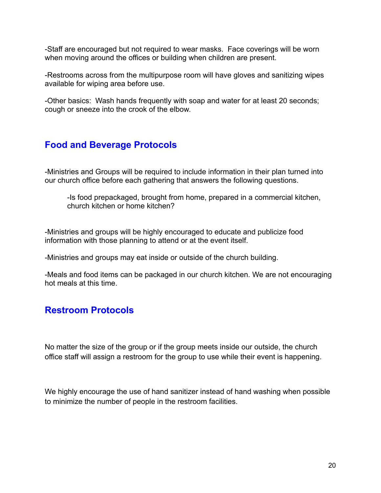-Staff are encouraged but not required to wear masks. Face coverings will be worn when moving around the offices or building when children are present.

-Restrooms across from the multipurpose room will have gloves and sanitizing wipes available for wiping area before use.

-Other basics: Wash hands frequently with soap and water for at least 20 seconds; cough or sneeze into the crook of the elbow.

## **Food and Beverage Protocols**

-Ministries and Groups will be required to include information in their plan turned into our church office before each gathering that answers the following questions.

-Is food prepackaged, brought from home, prepared in a commercial kitchen, church kitchen or home kitchen?

-Ministries and groups will be highly encouraged to educate and publicize food information with those planning to attend or at the event itself.

-Ministries and groups may eat inside or outside of the church building.

-Meals and food items can be packaged in our church kitchen. We are not encouraging hot meals at this time.

### **Restroom Protocols**

No matter the size of the group or if the group meets inside our outside, the church office staff will assign a restroom for the group to use while their event is happening.

We highly encourage the use of hand sanitizer instead of hand washing when possible to minimize the number of people in the restroom facilities.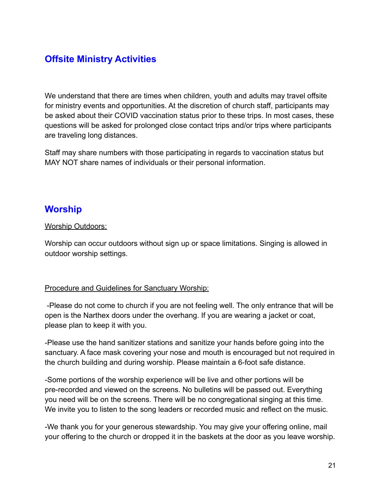# **Offsite Ministry Activities**

We understand that there are times when children, youth and adults may travel offsite for ministry events and opportunities. At the discretion of church staff, participants may be asked about their COVID vaccination status prior to these trips. In most cases, these questions will be asked for prolonged close contact trips and/or trips where participants are traveling long distances.

Staff may share numbers with those participating in regards to vaccination status but MAY NOT share names of individuals or their personal information.

# **Worship**

#### Worship Outdoors:

Worship can occur outdoors without sign up or space limitations. Singing is allowed in outdoor worship settings.

#### Procedure and Guidelines for Sanctuary Worship:

-Please do not come to church if you are not feeling well. The only entrance that will be open is the Narthex doors under the overhang. If you are wearing a jacket or coat, please plan to keep it with you.

-Please use the hand sanitizer stations and sanitize your hands before going into the sanctuary. A face mask covering your nose and mouth is encouraged but not required in the church building and during worship. Please maintain a 6-foot safe distance.

-Some portions of the worship experience will be live and other portions will be pre-recorded and viewed on the screens. No bulletins will be passed out. Everything you need will be on the screens. There will be no congregational singing at this time. We invite you to listen to the song leaders or recorded music and reflect on the music.

-We thank you for your generous stewardship. You may give your offering online, mail your offering to the church or dropped it in the baskets at the door as you leave worship.